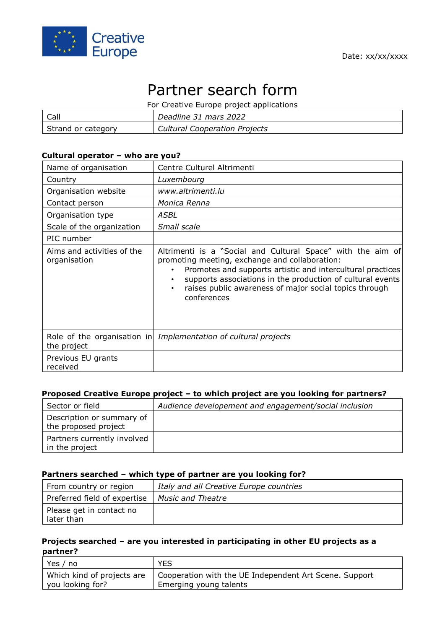

# Partner search form

| For Creative Europe project applications |                                      |  |
|------------------------------------------|--------------------------------------|--|
| Call                                     | Deadline 31 mars 2022                |  |
| Strand or category                       | <b>Cultural Cooperation Projects</b> |  |

## **Cultural operator – who are you?**

| Name of organisation                       | Centre Culturel Altrimenti                                                                                                                                                                                                                                                                                                      |
|--------------------------------------------|---------------------------------------------------------------------------------------------------------------------------------------------------------------------------------------------------------------------------------------------------------------------------------------------------------------------------------|
| Country                                    | Luxembourg                                                                                                                                                                                                                                                                                                                      |
| Organisation website                       | www.altrimenti.lu                                                                                                                                                                                                                                                                                                               |
| Contact person                             | Monica Renna                                                                                                                                                                                                                                                                                                                    |
| Organisation type                          | ASBL                                                                                                                                                                                                                                                                                                                            |
| Scale of the organization                  | Small scale                                                                                                                                                                                                                                                                                                                     |
| PIC number                                 |                                                                                                                                                                                                                                                                                                                                 |
| Aims and activities of the<br>organisation | Altrimenti is a "Social and Cultural Space" with the aim of<br>promoting meeting, exchange and collaboration:<br>Promotes and supports artistic and intercultural practices<br>supports associations in the production of cultural events<br>$\bullet$<br>raises public awareness of major social topics through<br>conferences |
| the project                                | Role of the organisation in Implementation of cultural projects                                                                                                                                                                                                                                                                 |
| Previous EU grants<br>received             |                                                                                                                                                                                                                                                                                                                                 |

#### **Proposed Creative Europe project – to which project are you looking for partners?**

| Sector or field                                   | Audience developement and engagement/social inclusion |
|---------------------------------------------------|-------------------------------------------------------|
| Description or summary of<br>the proposed project |                                                       |
| Partners currently involved<br>in the project     |                                                       |

#### **Partners searched – which type of partner are you looking for?**

| From country or region                 | Italy and all Creative Europe countries |
|----------------------------------------|-----------------------------------------|
| Preferred field of expertise           | <b>Music and Theatre</b>                |
| Please get in contact no<br>later than |                                         |

## **Projects searched – are you interested in participating in other EU projects as a partner?**

| Yes / no                   | <b>YES</b>                                             |
|----------------------------|--------------------------------------------------------|
| Which kind of projects are | Cooperation with the UE Independent Art Scene. Support |
| you looking for?           | Emerging young talents                                 |